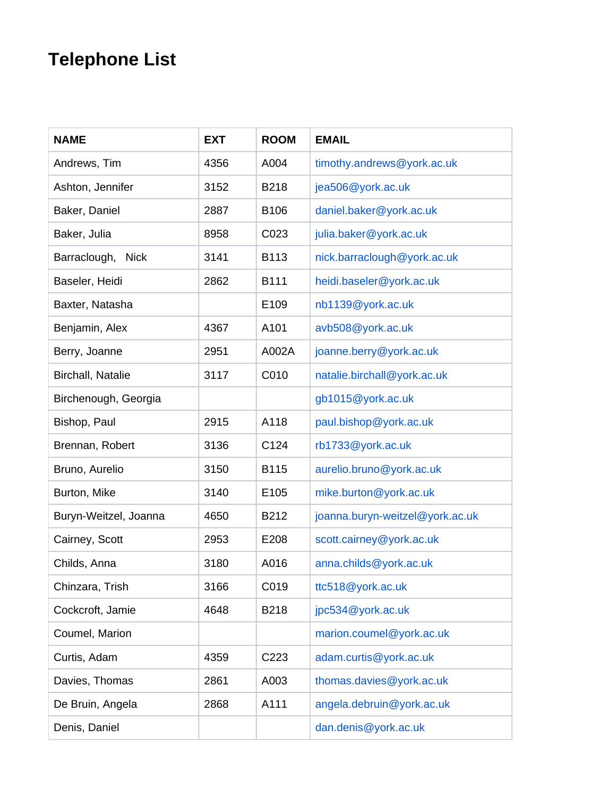## **Telephone List**

| <b>NAME</b>                 | <b>EXT</b> | <b>ROOM</b> | <b>EMAIL</b>                    |
|-----------------------------|------------|-------------|---------------------------------|
| Andrews, Tim                | 4356       | A004        | timothy.andrews@york.ac.uk      |
| Ashton, Jennifer            | 3152       | <b>B218</b> | jea506@york.ac.uk               |
| Baker, Daniel               | 2887       | B106        | daniel.baker@york.ac.uk         |
| Baker, Julia                | 8958       | C023        | julia.baker@york.ac.uk          |
| Barraclough,<br><b>Nick</b> | 3141       | B113        | nick.barraclough@york.ac.uk     |
| Baseler, Heidi              | 2862       | B111        | heidi.baseler@york.ac.uk        |
| Baxter, Natasha             |            | E109        | nb1139@york.ac.uk               |
| Benjamin, Alex              | 4367       | A101        | avb508@york.ac.uk               |
| Berry, Joanne               | 2951       | A002A       | joanne.berry@york.ac.uk         |
| <b>Birchall, Natalie</b>    | 3117       | C010        | natalie.birchall@york.ac.uk     |
| Birchenough, Georgia        |            |             | gb1015@york.ac.uk               |
| Bishop, Paul                | 2915       | A118        | paul.bishop@york.ac.uk          |
| Brennan, Robert             | 3136       | C124        | rb1733@york.ac.uk               |
| Bruno, Aurelio              | 3150       | <b>B115</b> | aurelio.bruno@york.ac.uk        |
| Burton, Mike                | 3140       | E105        | mike.burton@york.ac.uk          |
| Buryn-Weitzel, Joanna       | 4650       | B212        | joanna.buryn-weitzel@york.ac.uk |
| Cairney, Scott              | 2953       | E208        | scott.cairney@york.ac.uk        |
| Childs, Anna                | 3180       | A016        | anna.childs@york.ac.uk          |
| Chinzara, Trish             | 3166       | C019        | ttc518@york.ac.uk               |
| Cockcroft, Jamie            | 4648       | <b>B218</b> | jpc534@york.ac.uk               |
| Coumel, Marion              |            |             | marion.coumel@york.ac.uk        |
| Curtis, Adam                | 4359       | C223        | adam.curtis@york.ac.uk          |
| Davies, Thomas              | 2861       | A003        | thomas.davies@york.ac.uk        |
| De Bruin, Angela            | 2868       | A111        | angela.debruin@york.ac.uk       |
| Denis, Daniel               |            |             | dan.denis@york.ac.uk            |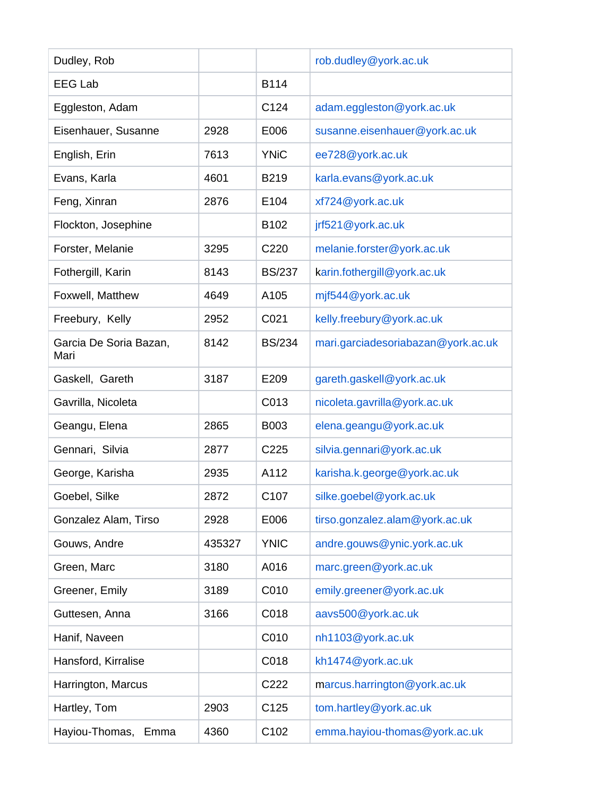| Dudley, Rob                    |        |                  | rob.dudley@york.ac.uk              |
|--------------------------------|--------|------------------|------------------------------------|
| <b>EEG Lab</b>                 |        | B114             |                                    |
| Eggleston, Adam                |        | C124             | adam.eggleston@york.ac.uk          |
| Eisenhauer, Susanne            | 2928   | E006             | susanne.eisenhauer@york.ac.uk      |
| English, Erin                  | 7613   | <b>YNiC</b>      | ee728@york.ac.uk                   |
| Evans, Karla                   | 4601   | B219             | karla.evans@york.ac.uk             |
| Feng, Xinran                   | 2876   | E104             | xf724@york.ac.uk                   |
| Flockton, Josephine            |        | B102             | jrf521@york.ac.uk                  |
| Forster, Melanie               | 3295   | C220             | melanie.forster@york.ac.uk         |
| Fothergill, Karin              | 8143   | <b>BS/237</b>    | karin.fothergill@york.ac.uk        |
| Foxwell, Matthew               | 4649   | A105             | mjf544@york.ac.uk                  |
| Freebury, Kelly                | 2952   | C021             | kelly.freebury@york.ac.uk          |
| Garcia De Soria Bazan,<br>Mari | 8142   | <b>BS/234</b>    | mari.garciadesoriabazan@york.ac.uk |
| Gaskell, Gareth                | 3187   | E209             | gareth.gaskell@york.ac.uk          |
| Gavrilla, Nicoleta             |        | C013             | nicoleta.gavrilla@york.ac.uk       |
| Geangu, Elena                  | 2865   | <b>B003</b>      | elena.geangu@york.ac.uk            |
| Gennari, Silvia                | 2877   | C225             | silvia.gennari@york.ac.uk          |
| George, Karisha                | 2935   | A112             | karisha.k.george@york.ac.uk        |
| Goebel, Silke                  | 2872   | C <sub>107</sub> | silke.goebel@york.ac.uk            |
| Gonzalez Alam, Tirso           | 2928   | E006             | tirso.gonzalez.alam@york.ac.uk     |
| Gouws, Andre                   | 435327 | <b>YNIC</b>      | andre.gouws@ynic.york.ac.uk        |
| Green, Marc                    | 3180   | A016             | marc.green@york.ac.uk              |
| Greener, Emily                 | 3189   | C010             | emily.greener@york.ac.uk           |
| Guttesen, Anna                 | 3166   | C018             | aavs500@york.ac.uk                 |
| Hanif, Naveen                  |        | C010             | nh1103@york.ac.uk                  |
| Hansford, Kirralise            |        | C018             | kh1474@york.ac.uk                  |
| Harrington, Marcus             |        | C222             | marcus.harrington@york.ac.uk       |
| Hartley, Tom                   | 2903   | C125             | tom.hartley@york.ac.uk             |
| Hayiou-Thomas,<br>Emma         | 4360   | C102             | emma.hayiou-thomas@york.ac.uk      |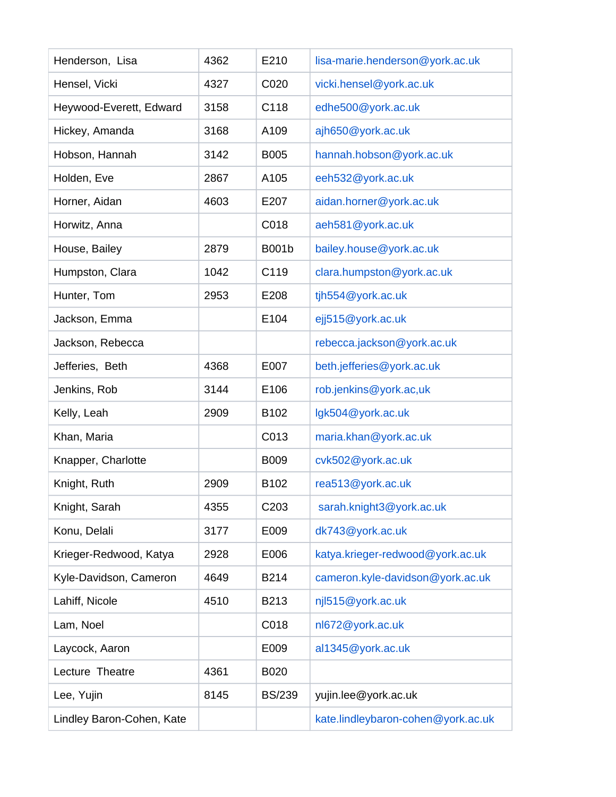| Henderson, Lisa           | 4362 | E210          | lisa-marie.henderson@york.ac.uk    |
|---------------------------|------|---------------|------------------------------------|
| Hensel, Vicki             | 4327 | C020          | vicki.hensel@york.ac.uk            |
| Heywood-Everett, Edward   | 3158 | C118          | edhe500@york.ac.uk                 |
| Hickey, Amanda            | 3168 | A109          | ajh650@york.ac.uk                  |
| Hobson, Hannah            | 3142 | <b>B005</b>   | hannah.hobson@york.ac.uk           |
| Holden, Eve               | 2867 | A105          | eeh532@york.ac.uk                  |
| Horner, Aidan             | 4603 | E207          | aidan.horner@york.ac.uk            |
| Horwitz, Anna             |      | C018          | aeh581@york.ac.uk                  |
| House, Bailey             | 2879 | <b>B001b</b>  | bailey.house@york.ac.uk            |
| Humpston, Clara           | 1042 | C119          | clara.humpston@york.ac.uk          |
| Hunter, Tom               | 2953 | E208          | tjh554@york.ac.uk                  |
| Jackson, Emma             |      | E104          | ejj515@york.ac.uk                  |
| Jackson, Rebecca          |      |               | rebecca.jackson@york.ac.uk         |
| Jefferies, Beth           | 4368 | E007          | beth.jefferies@york.ac.uk          |
| Jenkins, Rob              | 3144 | E106          | rob.jenkins@york.ac,uk             |
| Kelly, Leah               | 2909 | B102          | lgk504@york.ac.uk                  |
| Khan, Maria               |      | C013          | maria.khan@york.ac.uk              |
| Knapper, Charlotte        |      | <b>B009</b>   | cvk502@york.ac.uk                  |
| Knight, Ruth              | 2909 | B102          | rea513@york.ac.uk                  |
| Knight, Sarah             | 4355 | C203          | sarah.knight3@york.ac.uk           |
| Konu, Delali              | 3177 | E009          | dk743@york.ac.uk                   |
| Krieger-Redwood, Katya    | 2928 | E006          | katya.krieger-redwood@york.ac.uk   |
| Kyle-Davidson, Cameron    | 4649 | B214          | cameron.kyle-davidson@york.ac.uk   |
| Lahiff, Nicole            | 4510 | B213          | njl515@york.ac.uk                  |
| Lam, Noel                 |      | C018          | nl672@york.ac.uk                   |
| Laycock, Aaron            |      | E009          | al1345@york.ac.uk                  |
| Lecture Theatre           | 4361 | B020          |                                    |
| Lee, Yujin                | 8145 | <b>BS/239</b> | yujin.lee@york.ac.uk               |
| Lindley Baron-Cohen, Kate |      |               | kate.lindleybaron-cohen@york.ac.uk |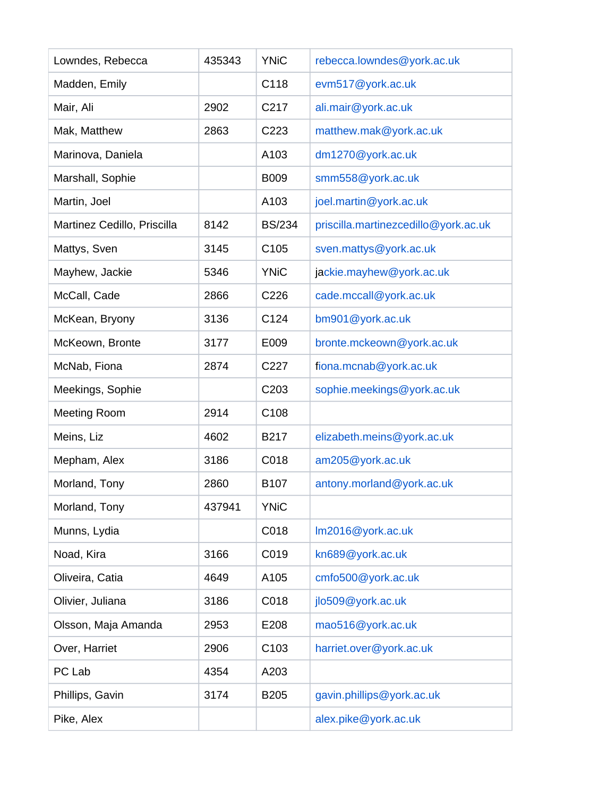| Lowndes, Rebecca            | 435343 | <b>YNiC</b>      | rebecca.lowndes@york.ac.uk           |
|-----------------------------|--------|------------------|--------------------------------------|
| Madden, Emily               |        | C118             | evm517@york.ac.uk                    |
| Mair, Ali                   | 2902   | C217             | ali.mair@york.ac.uk                  |
| Mak, Matthew                | 2863   | C223             | matthew.mak@york.ac.uk               |
| Marinova, Daniela           |        | A103             | dm1270@york.ac.uk                    |
| Marshall, Sophie            |        | <b>B009</b>      | smm558@york.ac.uk                    |
| Martin, Joel                |        | A103             | joel.martin@york.ac.uk               |
| Martinez Cedillo, Priscilla | 8142   | <b>BS/234</b>    | priscilla.martinezcedillo@york.ac.uk |
| Mattys, Sven                | 3145   | C <sub>105</sub> | sven.mattys@york.ac.uk               |
| Mayhew, Jackie              | 5346   | <b>YNiC</b>      | jackie.mayhew@york.ac.uk             |
| McCall, Cade                | 2866   | C226             | cade.mccall@york.ac.uk               |
| McKean, Bryony              | 3136   | C124             | bm901@york.ac.uk                     |
| McKeown, Bronte             | 3177   | E009             | bronte.mckeown@york.ac.uk            |
| McNab, Fiona                | 2874   | C227             | fiona.mcnab@york.ac.uk               |
| Meekings, Sophie            |        | C203             | sophie.meekings@york.ac.uk           |
| <b>Meeting Room</b>         | 2914   | C108             |                                      |
| Meins, Liz                  | 4602   | B217             | elizabeth.meins@york.ac.uk           |
| Mepham, Alex                | 3186   | C018             | am205@york.ac.uk                     |
| Morland, Tony               | 2860   | B107             | antony.morland@york.ac.uk            |
| Morland, Tony               | 437941 | <b>YNiC</b>      |                                      |
| Munns, Lydia                |        | C018             | Im2016@york.ac.uk                    |
| Noad, Kira                  | 3166   | C019             | kn689@york.ac.uk                     |
| Oliveira, Catia             | 4649   | A105             | cmfo500@york.ac.uk                   |
| Olivier, Juliana            | 3186   | C018             | jlo509@york.ac.uk                    |
| Olsson, Maja Amanda         | 2953   | E208             | mao516@york.ac.uk                    |
| Over, Harriet               | 2906   | C <sub>103</sub> | harriet.over@york.ac.uk              |
| PC Lab                      | 4354   | A203             |                                      |
| Phillips, Gavin             | 3174   | <b>B205</b>      | gavin.phillips@york.ac.uk            |
| Pike, Alex                  |        |                  | alex.pike@york.ac.uk                 |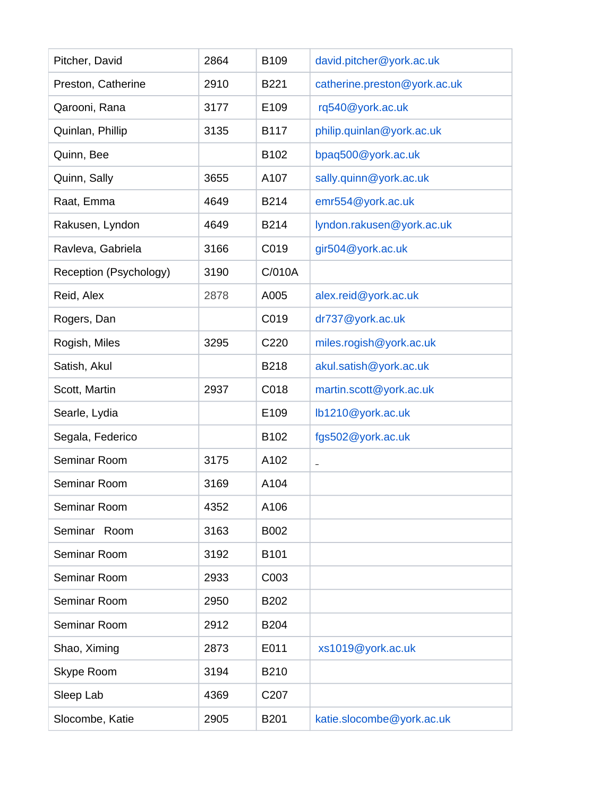| Pitcher, David         | 2864 | B109        | david.pitcher@york.ac.uk     |
|------------------------|------|-------------|------------------------------|
| Preston, Catherine     | 2910 | B221        | catherine.preston@york.ac.uk |
| Qarooni, Rana          | 3177 | E109        | rq540@york.ac.uk             |
| Quinlan, Phillip       | 3135 | <b>B117</b> | philip.quinlan@york.ac.uk    |
| Quinn, Bee             |      | B102        | bpaq500@york.ac.uk           |
| Quinn, Sally           | 3655 | A107        | sally.quinn@york.ac.uk       |
| Raat, Emma             | 4649 | B214        | emr554@york.ac.uk            |
| Rakusen, Lyndon        | 4649 | <b>B214</b> | lyndon.rakusen@york.ac.uk    |
| Ravleva, Gabriela      | 3166 | C019        | gir504@york.ac.uk            |
| Reception (Psychology) | 3190 | C/010A      |                              |
| Reid, Alex             | 2878 | A005        | alex.reid@york.ac.uk         |
| Rogers, Dan            |      | C019        | dr737@york.ac.uk             |
| Rogish, Miles          | 3295 | C220        | miles.rogish@york.ac.uk      |
| Satish, Akul           |      | <b>B218</b> | akul.satish@york.ac.uk       |
| Scott, Martin          | 2937 | C018        | martin.scott@york.ac.uk      |
| Searle, Lydia          |      | E109        | lb1210@york.ac.uk            |
| Segala, Federico       |      | B102        | fgs502@york.ac.uk            |
| Seminar Room           | 3175 | A102        | $\overline{a}$               |
| Seminar Room           | 3169 | A104        |                              |
| Seminar Room           | 4352 | A106        |                              |
| Seminar<br>Room        | 3163 | B002        |                              |
| Seminar Room           | 3192 | B101        |                              |
| Seminar Room           | 2933 | C003        |                              |
| Seminar Room           | 2950 | <b>B202</b> |                              |
| Seminar Room           | 2912 | <b>B204</b> |                              |
| Shao, Ximing           | 2873 | E011        | xs1019@york.ac.uk            |
| Skype Room             | 3194 | <b>B210</b> |                              |
| Sleep Lab              | 4369 | C207        |                              |
| Slocombe, Katie        | 2905 | <b>B201</b> | katie.slocombe@york.ac.uk    |